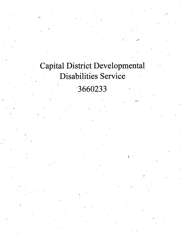## Capital District Developmental Disabilities Service 3660233